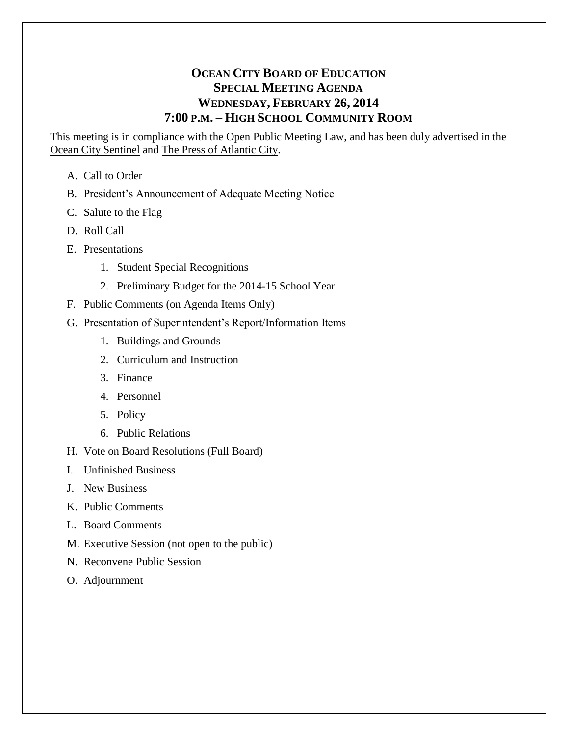# **OCEAN CITY BOARD OF EDUCATION SPECIAL MEETING AGENDA WEDNESDAY, FEBRUARY 26, 2014 7:00 P.M. – HIGH SCHOOL COMMUNITY ROOM**

This meeting is in compliance with the Open Public Meeting Law, and has been duly advertised in the Ocean City Sentinel and The Press of Atlantic City.

- A. Call to Order
- B. President's Announcement of Adequate Meeting Notice
- C. Salute to the Flag
- D. Roll Call
- E. Presentations
	- 1. Student Special Recognitions
	- 2. Preliminary Budget for the 2014-15 School Year
- F. Public Comments (on Agenda Items Only)
- G. Presentation of Superintendent's Report/Information Items
	- 1. Buildings and Grounds
	- 2. Curriculum and Instruction
	- 3. Finance
	- 4. Personnel
	- 5. Policy
	- 6. Public Relations
- H. Vote on Board Resolutions (Full Board)
- I. Unfinished Business
- J. New Business
- K. Public Comments
- L. Board Comments
- M. Executive Session (not open to the public)
- N. Reconvene Public Session
- O. Adjournment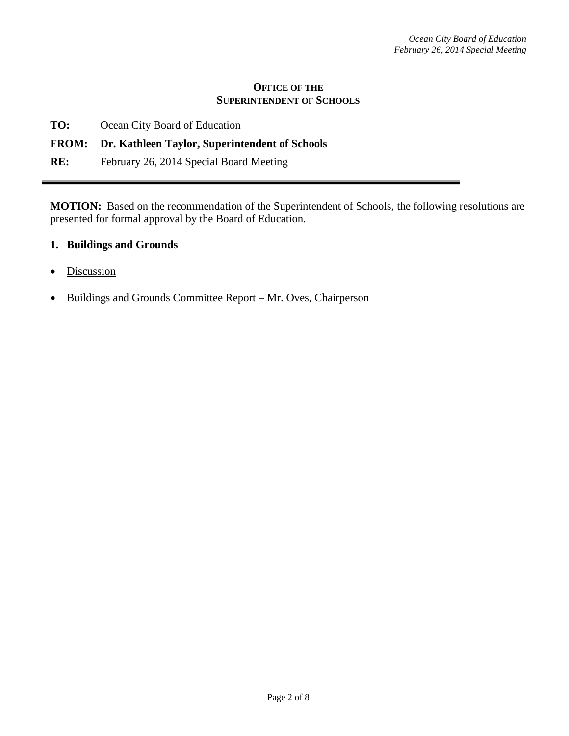#### **OFFICE OF THE SUPERINTENDENT OF SCHOOLS**

| TO: | Ocean City Board of Education |
|-----|-------------------------------|
|     |                               |

# **FROM: Dr. Kathleen Taylor, Superintendent of Schools**

**RE:** February 26, 2014 Special Board Meeting

**MOTION:** Based on the recommendation of the Superintendent of Schools, the following resolutions are presented for formal approval by the Board of Education.

### **1. Buildings and Grounds**

- Discussion
- Buildings and Grounds Committee Report Mr. Oves, Chairperson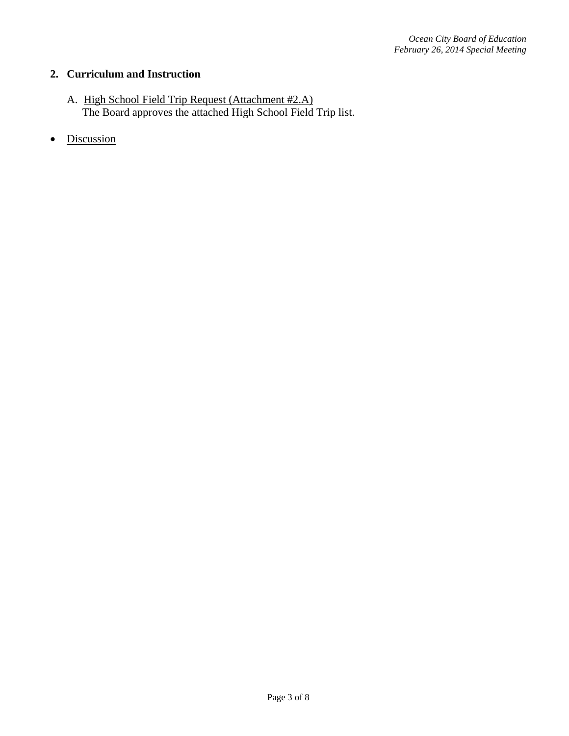## **2. Curriculum and Instruction**

- A. High School Field Trip Request (Attachment #2.A) The Board approves the attached High School Field Trip list.
- Discussion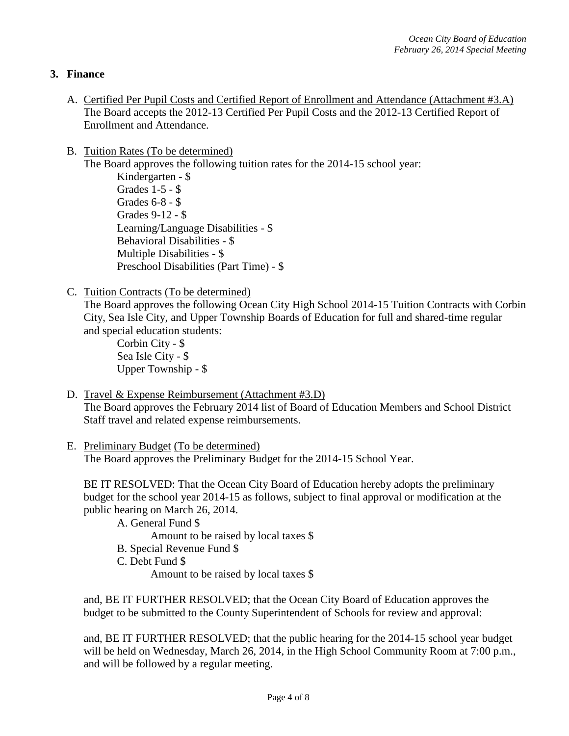### **3. Finance**

- A. Certified Per Pupil Costs and Certified Report of Enrollment and Attendance (Attachment #3.A) The Board accepts the 2012-13 Certified Per Pupil Costs and the 2012-13 Certified Report of Enrollment and Attendance.
- B. Tuition Rates (To be determined)

The Board approves the following tuition rates for the 2014-15 school year: Kindergarten - \$ Grades 1-5 - \$ Grades 6-8 - \$

Grades 9-12 - \$ Learning/Language Disabilities - \$ Behavioral Disabilities - \$ Multiple Disabilities - \$ Preschool Disabilities (Part Time) - \$

C. Tuition Contracts (To be determined)

The Board approves the following Ocean City High School 2014-15 Tuition Contracts with Corbin City, Sea Isle City, and Upper Township Boards of Education for full and shared-time regular and special education students:

Corbin City - \$ Sea Isle City - \$ Upper Township - \$

D. Travel & Expense Reimbursement (Attachment #3.D)

The Board approves the February 2014 list of Board of Education Members and School District Staff travel and related expense reimbursements.

#### E. Preliminary Budget (To be determined) The Board approves the Preliminary Budget for the 2014-15 School Year.

BE IT RESOLVED: That the Ocean City Board of Education hereby adopts the preliminary budget for the school year 2014-15 as follows, subject to final approval or modification at the public hearing on March 26, 2014.

A. General Fund \$ Amount to be raised by local taxes \$ B. Special Revenue Fund \$

C. Debt Fund \$

Amount to be raised by local taxes \$

and, BE IT FURTHER RESOLVED; that the Ocean City Board of Education approves the budget to be submitted to the County Superintendent of Schools for review and approval:

and, BE IT FURTHER RESOLVED; that the public hearing for the 2014-15 school year budget will be held on Wednesday, March 26, 2014, in the High School Community Room at 7:00 p.m., and will be followed by a regular meeting.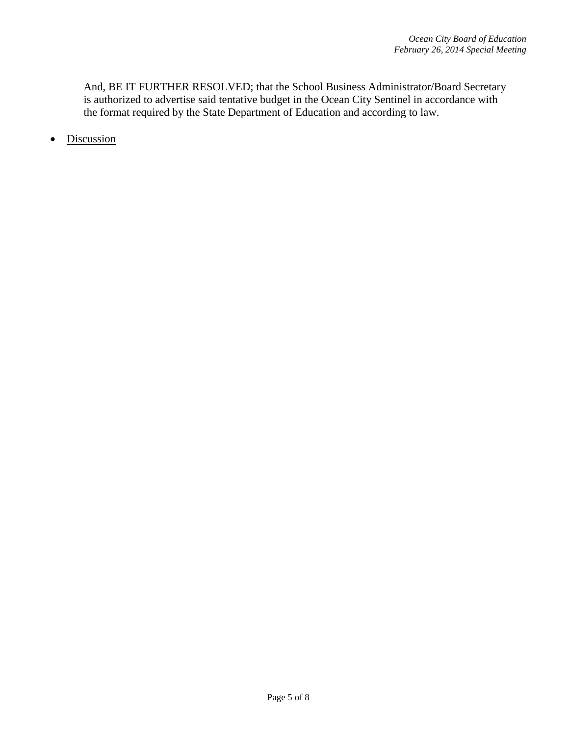And, BE IT FURTHER RESOLVED; that the School Business Administrator/Board Secretary is authorized to advertise said tentative budget in the Ocean City Sentinel in accordance with the format required by the State Department of Education and according to law.

• Discussion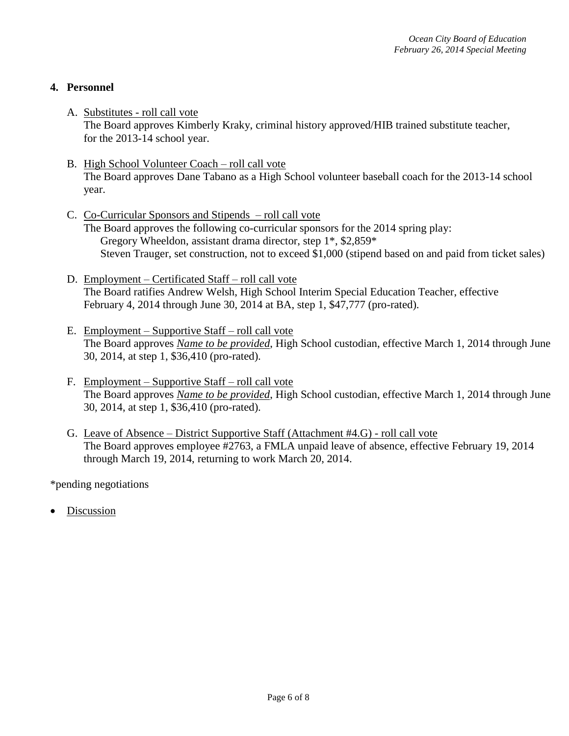### **4. Personnel**

- A. Substitutes roll call vote The Board approves Kimberly Kraky, criminal history approved/HIB trained substitute teacher, for the 2013-14 school year.
- B. High School Volunteer Coach roll call vote The Board approves Dane Tabano as a High School volunteer baseball coach for the 2013-14 school year.
- C. Co-Curricular Sponsors and Stipends roll call vote The Board approves the following co-curricular sponsors for the 2014 spring play: Gregory Wheeldon, assistant drama director, step 1\*, \$2,859\* Steven Trauger, set construction, not to exceed \$1,000 (stipend based on and paid from ticket sales)
- D. Employment Certificated Staff roll call vote The Board ratifies Andrew Welsh, High School Interim Special Education Teacher, effective February 4, 2014 through June 30, 2014 at BA, step 1, \$47,777 (pro-rated).
- E. Employment Supportive Staff roll call vote The Board approves *Name to be provided*, High School custodian, effective March 1, 2014 through June 30, 2014, at step 1, \$36,410 (pro-rated).
- F. Employment Supportive Staff roll call vote The Board approves *Name to be provided*, High School custodian, effective March 1, 2014 through June 30, 2014, at step 1, \$36,410 (pro-rated).
- G. Leave of Absence District Supportive Staff (Attachment #4.G) roll call vote The Board approves employee #2763, a FMLA unpaid leave of absence, effective February 19, 2014 through March 19, 2014, returning to work March 20, 2014.

\*pending negotiations

Discussion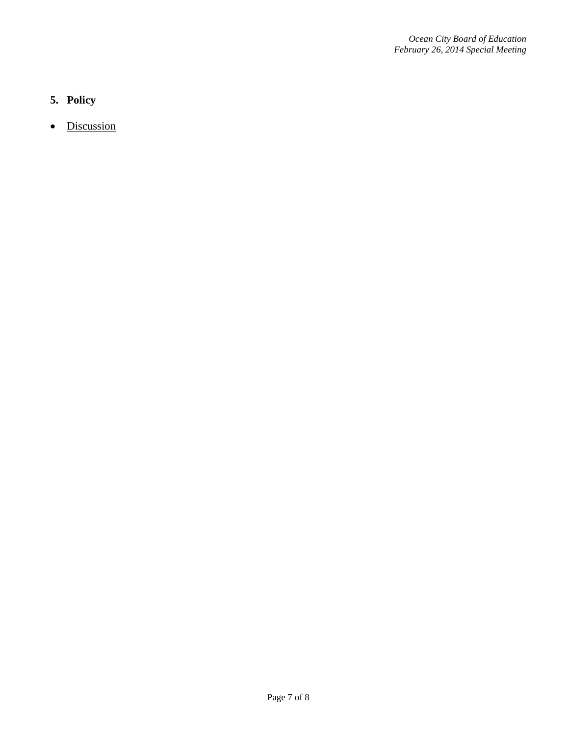# **5. Policy**

• Discussion